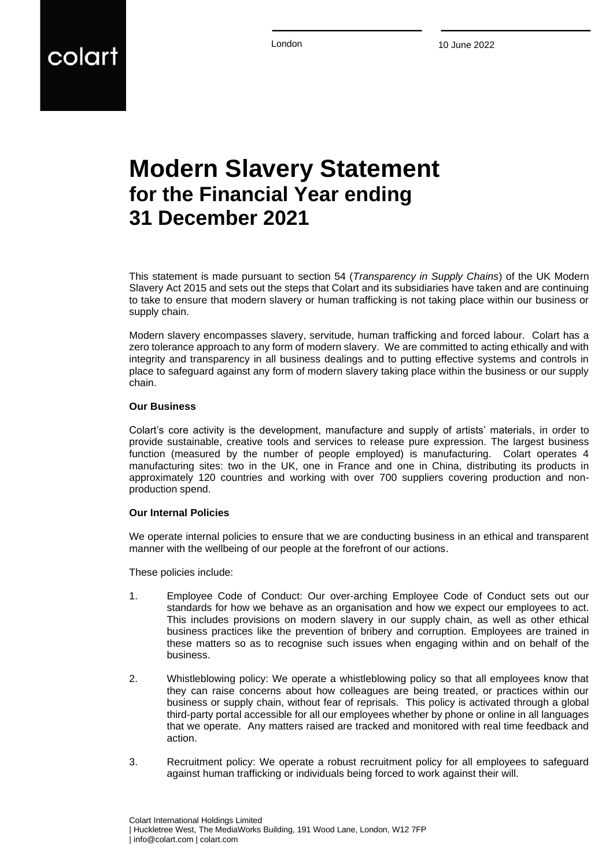London 10 June 2022

# colart

## **Modern Slavery Statement for the Financial Year ending 31 December 2021**

This statement is made pursuant to section 54 (*Transparency in Supply Chains*) of the UK Modern Slavery Act 2015 and sets out the steps that Colart and its subsidiaries have taken and are continuing to take to ensure that modern slavery or human trafficking is not taking place within our business or supply chain.

Modern slavery encompasses slavery, servitude, human trafficking and forced labour. Colart has a zero tolerance approach to any form of modern slavery. We are committed to acting ethically and with integrity and transparency in all business dealings and to putting effective systems and controls in place to safeguard against any form of modern slavery taking place within the business or our supply chain.

#### **Our Business**

Colart's core activity is the development, manufacture and supply of artists' materials, in order to provide sustainable, creative tools and services to release pure expression. The largest business function (measured by the number of people employed) is manufacturing. Colart operates 4 manufacturing sites: two in the UK, one in France and one in China, distributing its products in approximately 120 countries and working with over 700 suppliers covering production and nonproduction spend.

#### **Our Internal Policies**

We operate internal policies to ensure that we are conducting business in an ethical and transparent manner with the wellbeing of our people at the forefront of our actions.

These policies include:

- 1. Employee Code of Conduct: Our over-arching Employee Code of Conduct sets out our standards for how we behave as an organisation and how we expect our employees to act. This includes provisions on modern slavery in our supply chain, as well as other ethical business practices like the prevention of bribery and corruption. Employees are trained in these matters so as to recognise such issues when engaging within and on behalf of the business.
- 2. Whistleblowing policy: We operate a whistleblowing policy so that all employees know that they can raise concerns about how colleagues are being treated, or practices within our business or supply chain, without fear of reprisals. This policy is activated through a global third-party portal accessible for all our employees whether by phone or online in all languages that we operate. Any matters raised are tracked and monitored with real time feedback and action.
- 3. Recruitment policy: We operate a robust recruitment policy for all employees to safeguard against human trafficking or individuals being forced to work against their will.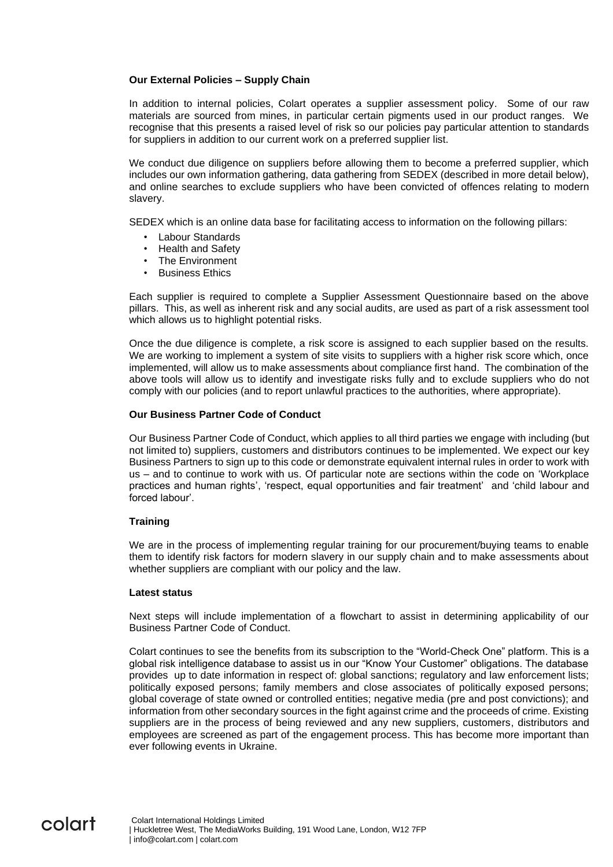#### **Our External Policies – Supply Chain**

In addition to internal policies, Colart operates a supplier assessment policy. Some of our raw materials are sourced from mines, in particular certain pigments used in our product ranges. We recognise that this presents a raised level of risk so our policies pay particular attention to standards for suppliers in addition to our current work on a preferred supplier list.

We conduct due diligence on suppliers before allowing them to become a preferred supplier, which includes our own information gathering, data gathering from SEDEX (described in more detail below), and online searches to exclude suppliers who have been convicted of offences relating to modern slavery.

SEDEX which is an online data base for facilitating access to information on the following pillars:

- Labour Standards
- Health and Safety
- The Environment
- **Business Ethics**

Each supplier is required to complete a Supplier Assessment Questionnaire based on the above pillars. This, as well as inherent risk and any social audits, are used as part of a risk assessment tool which allows us to highlight potential risks.

Once the due diligence is complete, a risk score is assigned to each supplier based on the results. We are working to implement a system of site visits to suppliers with a higher risk score which, once implemented, will allow us to make assessments about compliance first hand. The combination of the above tools will allow us to identify and investigate risks fully and to exclude suppliers who do not comply with our policies (and to report unlawful practices to the authorities, where appropriate).

#### **Our Business Partner Code of Conduct**

Our Business Partner Code of Conduct, which applies to all third parties we engage with including (but not limited to) suppliers, customers and distributors continues to be implemented. We expect our key Business Partners to sign up to this code or demonstrate equivalent internal rules in order to work with us – and to continue to work with us. Of particular note are sections within the code on 'Workplace practices and human rights', 'respect, equal opportunities and fair treatment' and 'child labour and forced labour'.

#### **Training**

We are in the process of implementing regular training for our procurement/buying teams to enable them to identify risk factors for modern slavery in our supply chain and to make assessments about whether suppliers are compliant with our policy and the law.

#### **Latest status**

Next steps will include implementation of a flowchart to assist in determining applicability of our Business Partner Code of Conduct.

Colart continues to see the benefits from its subscription to the "World-Check One" platform. This is a global risk intelligence database to assist us in our "Know Your Customer" obligations. The database provides up to date information in respect of: global sanctions; regulatory and law enforcement lists; politically exposed persons; family members and close associates of politically exposed persons; global coverage of state owned or controlled entities; negative media (pre and post convictions); and information from other secondary sources in the fight against crime and the proceeds of crime. Existing suppliers are in the process of being reviewed and any new suppliers, customers, distributors and employees are screened as part of the engagement process. This has become more important than ever following events in Ukraine.

### colart